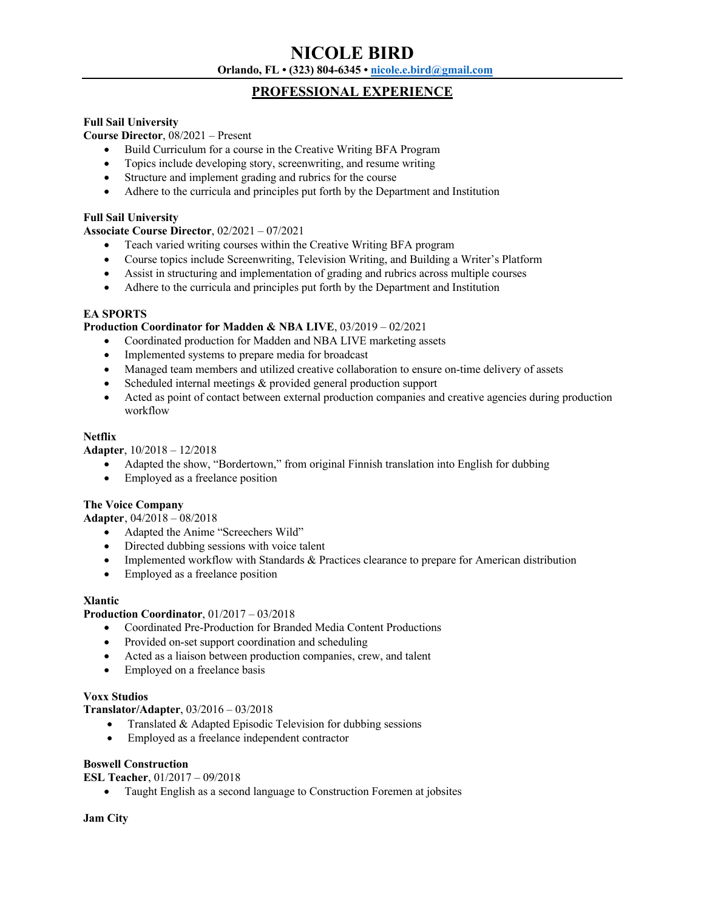# **NICOLE BIRD Orlando, FL • (323) 804-6345 • nicole.e.bird@gmail.com**

# **PROFESSIONAL EXPERIENCE**

#### **Full Sail University**

**Course Director**, 08/2021 – Present

- Build Curriculum for a course in the Creative Writing BFA Program
- Topics include developing story, screenwriting, and resume writing
- Structure and implement grading and rubrics for the course
- Adhere to the curricula and principles put forth by the Department and Institution

#### **Full Sail University**

#### **Associate Course Director**, 02/2021 – 07/2021

- Teach varied writing courses within the Creative Writing BFA program
- Course topics include Screenwriting, Television Writing, and Building a Writer's Platform
- Assist in structuring and implementation of grading and rubrics across multiple courses
- Adhere to the curricula and principles put forth by the Department and Institution

### **EA SPORTS**

#### **Production Coordinator for Madden & NBA LIVE**, 03/2019 – 02/2021

- Coordinated production for Madden and NBA LIVE marketing assets
- Implemented systems to prepare media for broadcast
- Managed team members and utilized creative collaboration to ensure on-time delivery of assets
- Scheduled internal meetings & provided general production support
- Acted as point of contact between external production companies and creative agencies during production workflow

### **Netflix**

**Adapter**, 10/2018 – 12/2018

- Adapted the show, "Bordertown," from original Finnish translation into English for dubbing
- Employed as a freelance position

#### **The Voice Company**

**Adapter**, 04/2018 – 08/2018

- Adapted the Anime "Screechers Wild"
- Directed dubbing sessions with voice talent
- Implemented workflow with Standards & Practices clearance to prepare for American distribution
- Employed as a freelance position

#### **Xlantic**

#### **Production Coordinator**, 01/2017 – 03/2018

- Coordinated Pre-Production for Branded Media Content Productions
- Provided on-set support coordination and scheduling
- Acted as a liaison between production companies, crew, and talent
- Employed on a freelance basis

#### **Voxx Studios**

**Translator/Adapter**, 03/2016 – 03/2018

- Translated & Adapted Episodic Television for dubbing sessions
- Employed as a freelance independent contractor

#### **Boswell Construction**

**ESL Teacher**, 01/2017 – 09/2018

• Taught English as a second language to Construction Foremen at jobsites

#### **Jam City**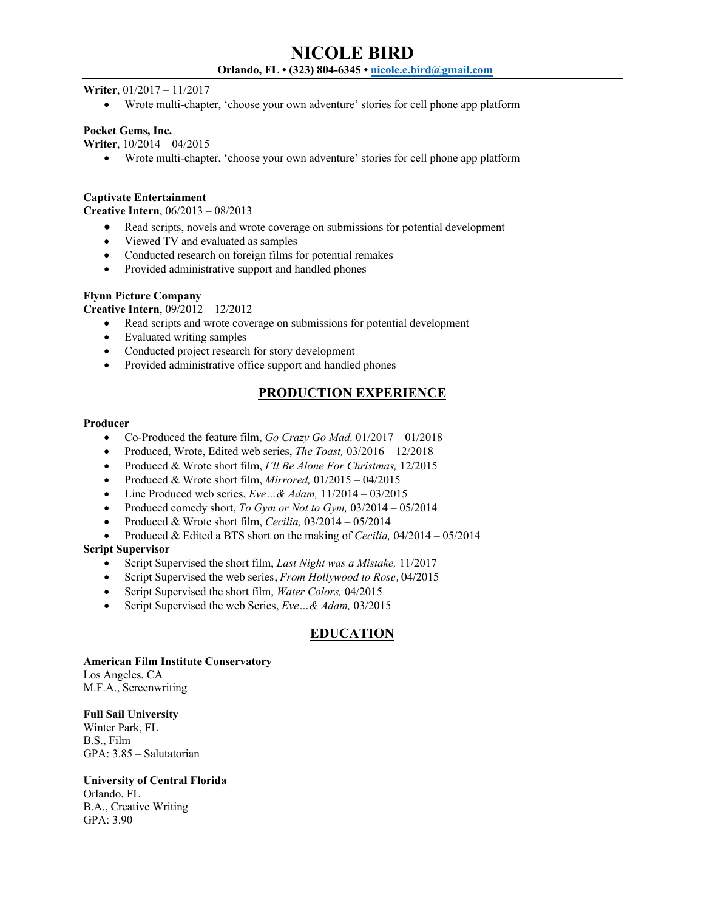**Writer**, 01/2017 – 11/2017

• Wrote multi-chapter, 'choose your own adventure' stories for cell phone app platform

#### **Pocket Gems, Inc.**

**Writer**, 10/2014 – 04/2015

• Wrote multi-chapter, 'choose your own adventure' stories for cell phone app platform

#### **Captivate Entertainment**

**Creative Intern**, 06/2013 – 08/2013

- Read scripts, novels and wrote coverage on submissions for potential development
- Viewed TV and evaluated as samples
- Conducted research on foreign films for potential remakes
- Provided administrative support and handled phones

### **Flynn Picture Company**

**Creative Intern**, 09/2012 – 12/2012

- Read scripts and wrote coverage on submissions for potential development
- Evaluated writing samples
- Conducted project research for story development
- Provided administrative office support and handled phones

# **PRODUCTION EXPERIENCE**

#### **Producer**

- Co-Produced the feature film, *Go Crazy Go Mad,* 01/2017 01/2018
- Produced, Wrote, Edited web series, *The Toast,* 03/2016 12/2018
- Produced & Wrote short film, *I'll Be Alone For Christmas,* 12/2015
- Produced & Wrote short film, *Mirrored,* 01/2015 04/2015
- Line Produced web series, *Eve…& Adam,* 11/2014 03/2015
- Produced comedy short, *To Gym or Not to Gym,* 03/2014 05/2014
- Produced & Wrote short film, *Cecilia,* 03/2014 05/2014
- Produced & Edited a BTS short on the making of *Cecilia,* 04/2014 05/2014

#### **Script Supervisor**

- Script Supervised the short film, *Last Night was a Mistake,* 11/2017
- Script Supervised the web series, *From Hollywood to Rose,* 04/2015
- Script Supervised the short film, *Water Colors,* 04/2015
- Script Supervised the web Series, *Eve…& Adam,* 03/2015

# **EDUCATION**

#### **American Film Institute Conservatory**

Los Angeles, CA M.F.A., Screenwriting

## **Full Sail University**

Winter Park, FL B.S., Film GPA: 3.85 – Salutatorian

# **University of Central Florida**

Orlando, FL B.A., Creative Writing GPA: 3.90